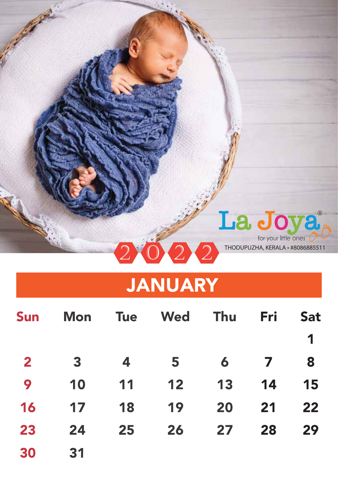

### JANUARY

| <b>Sun</b>   | <b>Mon</b> | <b>Tue</b> | Wed | <b>Thu</b> | Fri                     | <b>Sat</b> |
|--------------|------------|------------|-----|------------|-------------------------|------------|
|              |            |            |     |            |                         | 1          |
| $\mathbf{2}$ | 3          | 4          | 5   | 6          | $\overline{\mathbf{7}}$ | 8          |
| 9            | 10         | 11         | 12  | 13         | 14                      | 15         |
| 16           | 17         | 18         | 19  | 20         | 21                      | 22         |
| 23           | 24         | 25         | 26  | 27         | 28                      | 29         |
| 30           | 31         |            |     |            |                         |            |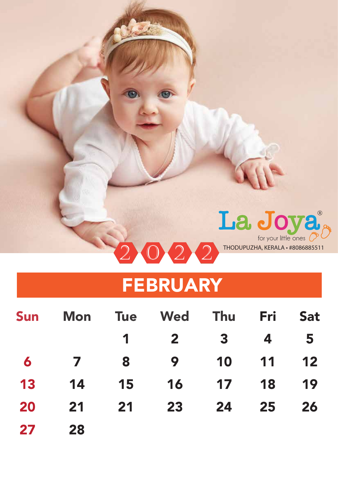

#### FEBRUARY

| Sun |                 |             | Mon Tue Wed Thu Fri     |                         |                         | <b>Sat</b>      |
|-----|-----------------|-------------|-------------------------|-------------------------|-------------------------|-----------------|
|     |                 | $\mathbf 1$ | $\overline{\mathbf{2}}$ | $\overline{\mathbf{3}}$ | $\overline{\mathbf{4}}$ | $5\overline{5}$ |
| 6   | $\overline{7}$  | 8           | $\overline{9}$          |                         | 10 11 12                |                 |
| 13  | $\overline{14}$ | 15          | 16                      | 17 18                   |                         | 19              |
| 20  | 21              | 21          | 23                      | 24 25                   |                         | 26              |
| 27  | 28              |             |                         |                         |                         |                 |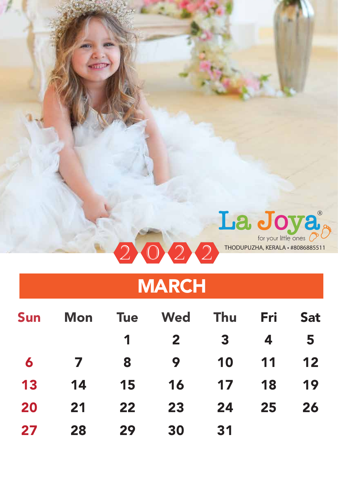

## MARCH

| <b>Sun</b> | Mon            |             | Tue Wed Thu  |                         | Fri | <b>Sat</b> |
|------------|----------------|-------------|--------------|-------------------------|-----|------------|
|            |                | $\mathbf 1$ | $\mathbf{2}$ | $\overline{\mathbf{3}}$ | 4   | 5          |
| 6          | $\overline{7}$ | 8           | 9            | 10                      | 11  | 12         |
| 13         | 14             | 15          | <b>16</b>    | $\overline{17}$         | 18  | 19         |
| 20         | 21             | 22          | 23           | 24                      | 25  | 26         |
| 27         | 28             | 29          | 30           | 31                      |     |            |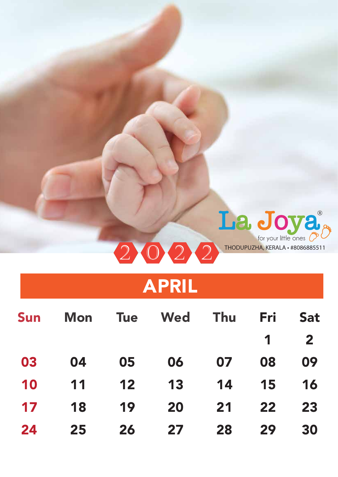

## APRIL

| Sun |    |                 | Mon Tue Wed Thu |    | Fri         | <b>Sat</b>              |
|-----|----|-----------------|-----------------|----|-------------|-------------------------|
|     |    |                 |                 |    | $\mathbf 1$ | $\overline{\mathbf{2}}$ |
| 03  | 04 | 05              | 06              | 07 | 08          | 09                      |
| 10  | 11 | $\overline{12}$ | 13              |    | 14 15       | 16                      |
| 17  | 18 | 19              | 20              |    | 21 22       | 23                      |
| 24  | 25 | 26              | 27 <sub>2</sub> | 28 | 29          | 30                      |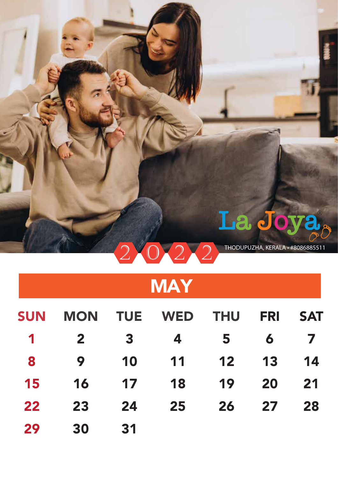

THODUPUZHA, KERALA • #8086885511

## **MAY**

| <b>SUN</b>     | <b>MON</b>   | <b>TUE</b>              | WED THU FRI    |      |                            | <b>SAT</b> |
|----------------|--------------|-------------------------|----------------|------|----------------------------|------------|
| $\overline{1}$ | $\mathbf{2}$ | $\overline{\mathbf{3}}$ | $\overline{4}$ | $-5$ | $\overline{\mathbf{6}}$    |            |
| 8              | 9            | $-10$                   | 11 12          |      | $\overline{\phantom{0}13}$ | 14         |
| 15             | 16           | $\overline{17}$         | 18             | 19   | 20                         | 21         |
| 22             | 23           | 24                      | 25             | 26   | 27                         | 28         |
| 29             | 30           | 31                      |                |      |                            |            |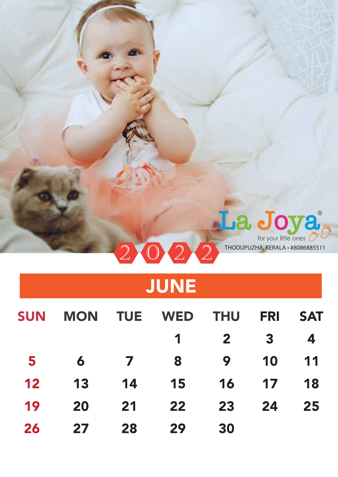

## JUNE

| <b>SUN</b> | <b>MON</b> | <b>TUE</b>                | WED THU |                | <b>FRI</b>              | <b>SAT</b> |
|------------|------------|---------------------------|---------|----------------|-------------------------|------------|
|            |            |                           | 1       | $\mathbf{2}$   | $\overline{\mathbf{3}}$ | 4          |
| 5          | 6          | $\overline{7}$            | 8       | $\overline{9}$ | 10                      | 11         |
| 12         | 13         | 14                        | 15      | 16             | 17                      | 18         |
| 19         | 20         | $\overline{\mathbf{2}}$ 1 | 22      | 23             | 24                      | 25         |
| 26         | 27         | 28                        | 29      | 30             |                         |            |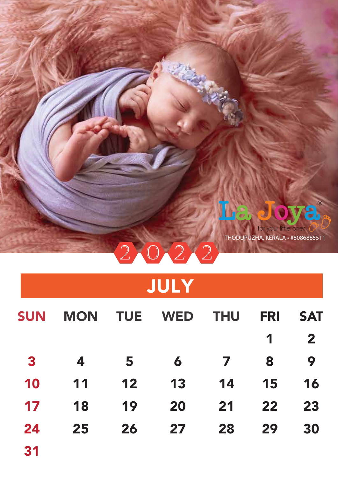

THODUPUZHA, KERALA • #8086885511

# JULY

0 2 2

| <b>SUN</b>              | <b>MON</b>      | <b>TUE</b>              | WED THU         |                         | <b>FRI</b>     | <b>SAT</b>   |
|-------------------------|-----------------|-------------------------|-----------------|-------------------------|----------------|--------------|
|                         |                 |                         |                 |                         | $\overline{1}$ | $\mathbf{2}$ |
| $\overline{\mathbf{3}}$ | 4               | $\overline{\mathbf{5}}$ | $\overline{6}$  | $\overline{\mathbf{z}}$ | 8              | 9            |
| 10                      | 11              | 12                      | 13              | 14                      | 15             | 16           |
| 17                      | 18              | 19                      | 20              | 21                      | 22             | 23           |
| 24                      | 25 <sub>2</sub> | 26                      | 27 <sub>2</sub> | 28                      | 29             | 30           |
|                         |                 |                         |                 |                         |                |              |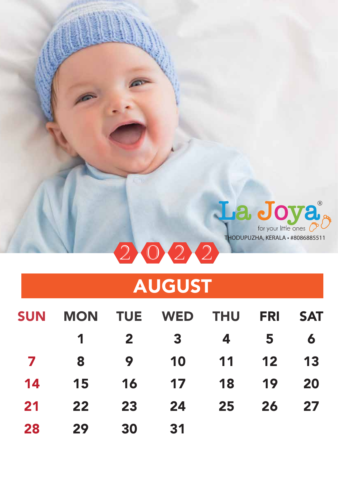

## AUGUST

| <b>SUN</b>   |                |                         | <b>MON TUE WED THU</b>  |                 | <b>FRI</b>               | <b>SAT</b> |
|--------------|----------------|-------------------------|-------------------------|-----------------|--------------------------|------------|
|              | $\overline{1}$ | $\overline{\mathbf{2}}$ | $\overline{\mathbf{3}}$ | 4               | $\overline{\phantom{0}}$ | $\bullet$  |
| $\mathbf{Z}$ | 8              | - 9                     | 10                      | $\overline{11}$ | $\overline{12}$          | 13         |
| 14           | 15             | 16                      | 17 18                   |                 | 19                       | 20         |
| 21           | 22             | 23                      | 24                      | 25              | 26                       | 27         |
| 28           | 29             | 30                      | 31                      |                 |                          |            |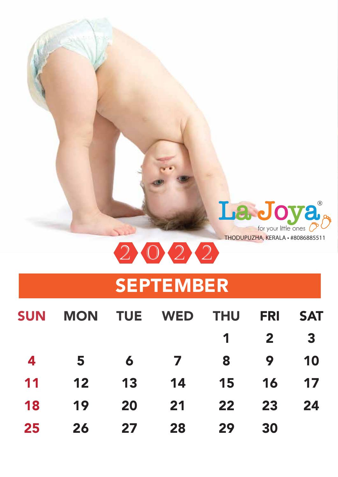

0 2 2

### SEPTEMBER

| <b>SUN</b>              | <b>MON</b> |                          | <b>TUE WED THU</b> |                             | <b>FRI</b>   | <b>SAT</b>              |
|-------------------------|------------|--------------------------|--------------------|-----------------------------|--------------|-------------------------|
|                         |            |                          |                    | $\overline{1}$              | $\mathbf{2}$ | $\overline{\mathbf{3}}$ |
| $\overline{\mathbf{4}}$ | $-5$       | $\overline{\mathbf{6}}$  | $\overline{7}$     | 8                           | 9            | 10                      |
| 11                      | 12         | $\overline{\mathbf{13}}$ | $\overline{14}$    | $\overline{\phantom{1}}$ 15 | 16           | 17                      |
| 18                      | 19         | 20                       | 21                 | 22                          | 23           | 24                      |
| 25                      | 26         | 27 <sub>2</sub>          | 28                 | 29                          | 30           |                         |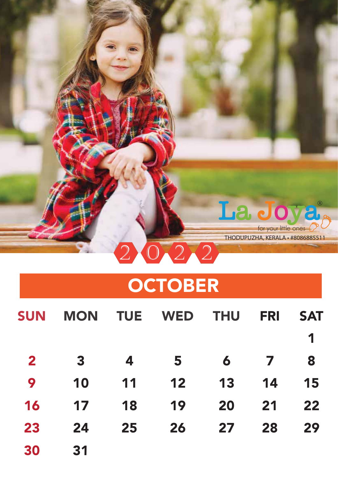

### **OCTOBER**

| <b>SUN</b>   | <b>MON</b>              | <b>TUE</b> | WED THU |    | <b>FRI</b> | <b>SAT</b> |
|--------------|-------------------------|------------|---------|----|------------|------------|
|              |                         |            |         |    |            | 1          |
| $\mathbf{2}$ | $\overline{\mathbf{3}}$ | 4          | 5       | 6  | 7          | 8          |
| 9            | 10                      | 11         | 12      | 13 | 14         | 15         |
| 16           | 17                      | 18         | 19      | 20 | 21         | 22         |
| 23           | 24                      | 25         | 26      | 27 | 28         | 29         |
| 30           | 31                      |            |         |    |            |            |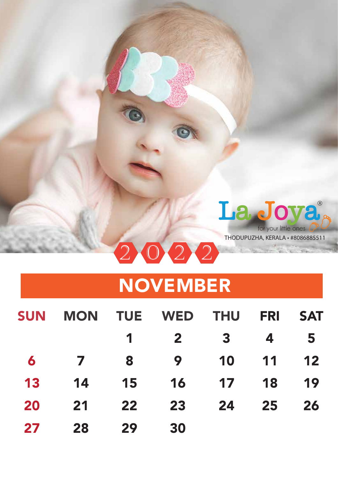

## NOVEMBER

| <b>SUN</b> | <b>MON</b>     | <b>TUE</b>               | WED THU      |                         | <b>FRI</b> | <b>SAT</b> |
|------------|----------------|--------------------------|--------------|-------------------------|------------|------------|
|            |                | 1                        | $\mathbf{2}$ | $\overline{\mathbf{3}}$ | 4          | 5          |
| 6          | $\overline{7}$ | $\overline{\phantom{a}}$ | 9            | 10                      | $-11$      | 12         |
| 13         | 14             | <b>15</b>                | 16           | $\overline{17}$         | 18         | 19         |
| 20         | 21             | 22                       | 23           | 24                      | 25         | 26         |
| 27         | 28             | 29                       | 30           |                         |            |            |